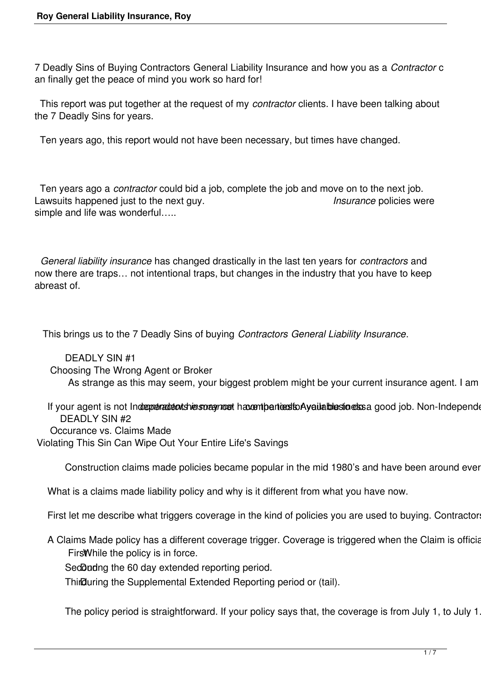7 Deadly Sins of Buying Contractors General Liability Insurance and how you as a *Contractor* c an finally get the peace of mind you work so hard for!

 This report was put together at the request of my *contractor* clients. I have been talking about the 7 Deadly Sins for years.

Ten years ago, this report would not have been necessary, but times have changed.

 Ten years ago a *contractor* could bid a job, complete the job and move on to the next job. Lawsuits happened just to the next guy. *Insurance* policies were simple and life was wonderful…..

 *General liability insurance* has changed drastically in the last ten years for *contractors* and now there are traps… not intentional traps, but changes in the industry that you have to keep abreast of.

This brings us to the 7 Deadly Sins of buying *Contractors General Liability Insurance*.

 DEADLY SIN #1 Choosing The Wrong Agent or Broker As strange as this may seem, your biggest problem might be your current insurance agent. I am

If your agent is not Indreprenadent shiers or agriced havent particularly attached to essay good job. Non-Independent DEADLY SIN #2 Occurance vs. Claims Made Violating This Sin Can Wipe Out Your Entire Life's Savings

Construction claims made policies became popular in the mid 1980's and have been around ever

What is a claims made liability policy and why is it different from what you have now.

First let me describe what triggers coverage in the kind of policies you are used to buying. Contractor

A Claims Made policy has a different coverage trigger. Coverage is triggered when the Claim is official Firs While the policy is in force.

SedDudng the 60 day extended reporting period.

Third uring the Supplemental Extended Reporting period or (tail).

The policy period is straightforward. If your policy says that, the coverage is from July 1, to July 1.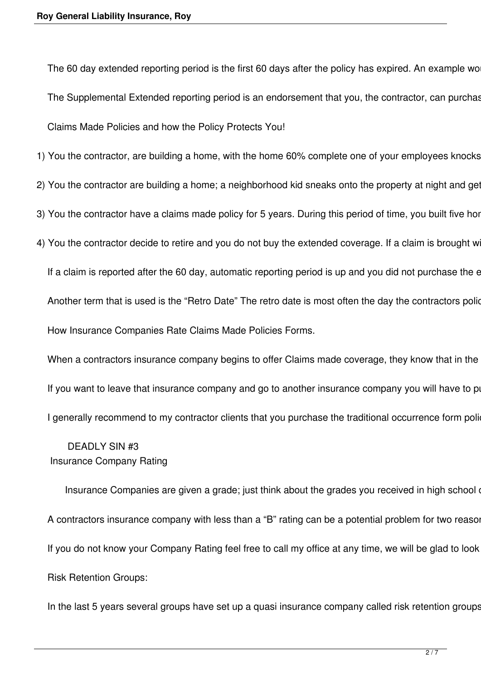The 60 day extended reporting period is the first 60 days after the policy has expired. An example wo The Supplemental Extended reporting period is an endorsement that you, the contractor, can purchas Claims Made Policies and how the Policy Protects You!

1) You the contractor, are building a home, with the home 60% complete one of your employees knocks

- 2) You the contractor are building a home; a neighborhood kid sneaks onto the property at night and get
- 3) You the contractor have a claims made policy for 5 years. During this period of time, you built five hor
- 4) You the contractor decide to retire and you do not buy the extended coverage. If a claim is brought w

If a claim is reported after the 60 day, automatic reporting period is up and you did not purchase the e Another term that is used is the "Retro Date" The retro date is most often the day the contractors police How Insurance Companies Rate Claims Made Policies Forms.

When a contractors insurance company begins to offer Claims made coverage, they know that in the If you want to leave that insurance company and go to another insurance company you will have to po I generally recommend to my contractor clients that you purchase the traditional occurrence form poli-

## DEADLY SIN #3 Insurance Company Rating

Insurance Companies are given a grade; just think about the grades you received in high school or college. A,B,C,D,F. Insurance Companies are given a grade; just think about the grades you received in high school A contractors insurance company with less than a "B" rating can be a potential problem for two reasor If you do not know your Company Rating feel free to call my office at any time, we will be glad to look Risk Retention Groups:

In the last 5 years several groups have set up a quasi insurance company called risk retention groups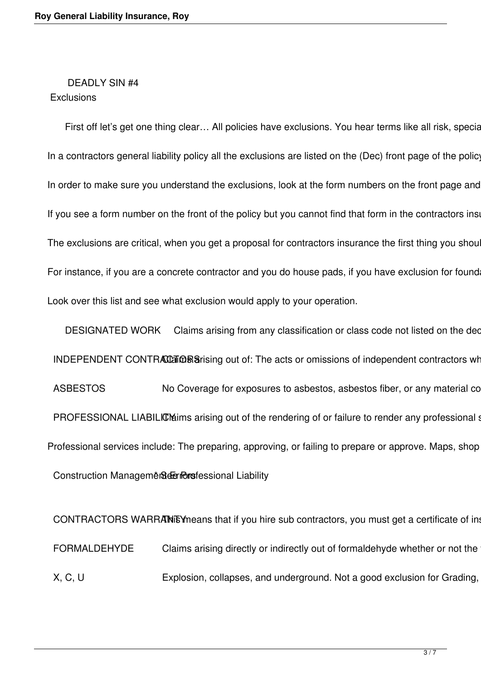#### DEADLY SIN #4 **Exclusions**

First off let's get one thing clear... All policies have exclusions. You hear terms like all risk, special form, comprehensive, full contain the are not mean there are no exclusions. There are no exclusions. There are no e In a contractors general liability policy all the exclusions are listed on the (Dec) front page of the policy In order to make sure you understand the exclusions, look at the form numbers on the front page and If you see a form number on the front of the policy but you cannot find that form in the contractors insection The exclusions are critical, when you get a proposal for contractors insurance the first thing you shou For instance, if you are a concrete contractor and you do house pads, if you have exclusion for found Look over this list and see what exclusion would apply to your operation.

DESIGNATED WORK Claims arising from any classification or class code not listed on the dec INDEPENDENT CONTRACCER Sarising out of: The acts or omissions of independent contractors wh ASBESTOS No Coverage for exposures to asbestos, asbestos fiber, or any material co PROFESSIONAL LIABILICM arising out of the rendering of or failure to render any professional state. Professional services include: The preparing, approving, or failing to prepare or approve. Maps, shop Construction Management Gerriors fessional Liability

CONTRACTORS WARRANEY means that if you hire sub contractors, you must get a certificate of in FORMALDEHYDE Claims arising directly or indirectly out of formaldehyde whether or not the X, C, U Explosion, collapses, and underground. Not a good exclusion for Grading,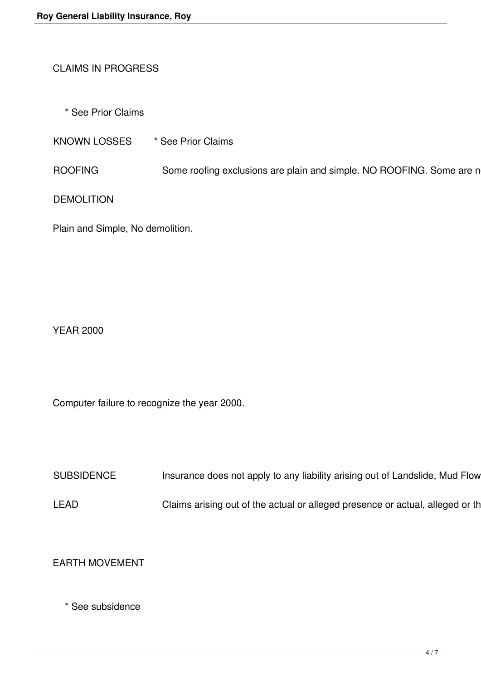## CLAIMS IN PROGRESS

\* See Prior Claims

KNOWN LOSSES \* See Prior Claims

ROOFING Some roofing exclusions are plain and simple. NO ROOFING. Some are n

DEMOLITION

Plain and Simple, No demolition.

YEAR 2000

Computer failure to recognize the year 2000.

SUBSIDENCE Insurance does not apply to any liability arising out of Landslide, Mud Flow

LEAD Claims arising out of the actual or alleged presence or actual, alleged or th

EARTH MOVEMENT

\* See subsidence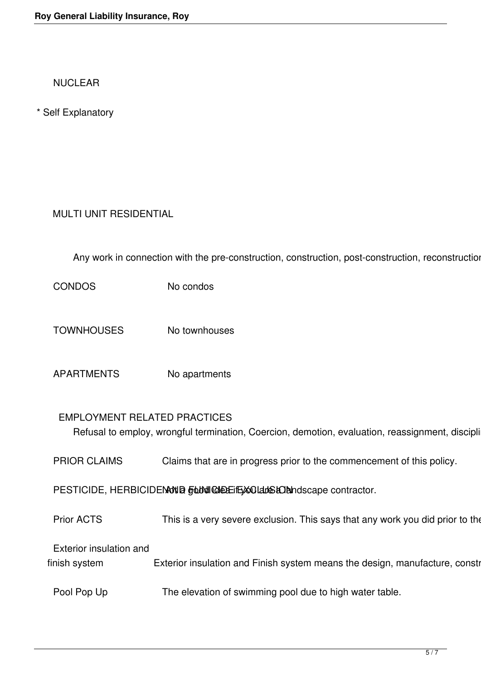NUCLEAR

\* Self Explanatory

# MULTI UNIT RESIDENTIAL

Any work in connection with the pre-construction, construction, post-construction, reconstruction

CONDOS No condos

TOWNHOUSES No townhouses

APARTMENTS No apartments

#### EMPLOYMENT RELATED PRACTICES

Refusal to employ, wrongful termination, Coercion, demotion, evaluation, reassignment, discipli

PRIOR CLAIMS Claims that are in progress prior to the commencement of this policy.

PESTICIDE, HERBICIDENNING FUNICIDE EXCLUSION Not accept contractor.

Prior ACTS This is a very severe exclusion. This says that any work you did prior to the

Exterior insulation and

finish system Exterior insulation and Finish system means the design, manufacture, constr

Pool Pop Up The elevation of swimming pool due to high water table.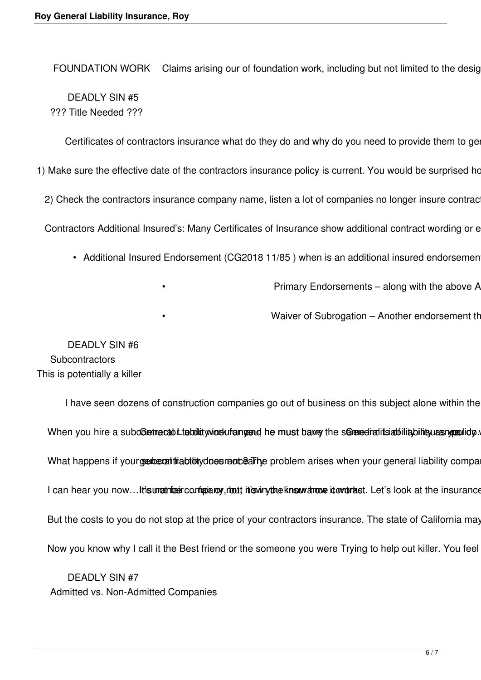FOUNDATION WORK Claims arising our of foundation work, including but not limited to the design DEADLY SIN #5 ??? Title Needed ???

Certificates of contractors insurance what do they do and why do you need to provide them to ge

1) Make sure the effective date of the contractors insurance policy is current. You would be surprised ho

2) Check the contractors insurance company name, listen a lot of companies no longer insure contrac

Contractors Additional Insured's: Many Certificates of Insurance show additional contract wording or e

- Additional Insured Endorsement (CG2018 11/85) when is an additional insured endorsemen
	-

Primary Endorsements - along with the above A

Waiver of Subrogation – Another endorsement th

 DEADLY SIN #6 **Subcontractors** This is potentially a killer

I have seen dozens of construction companies go out of business on this subject alone within the When you hire a subcoetracabilitiquid winds uf angend he must barry the senered ratits at iliability bility as What happens if your serior at this bibity does rand earlier problem arises when your general liability compa I can hear you now...It is unatrized configurative, that this winy the know drove it over tast. Let's look at the insurance But the costs to you do not stop at the price of your contractors insurance. The state of California may Now you know why I call it the Best friend or the someone you were Trying to help out killer. You feel

 DEADLY SIN #7 Admitted vs. Non-Admitted Companies